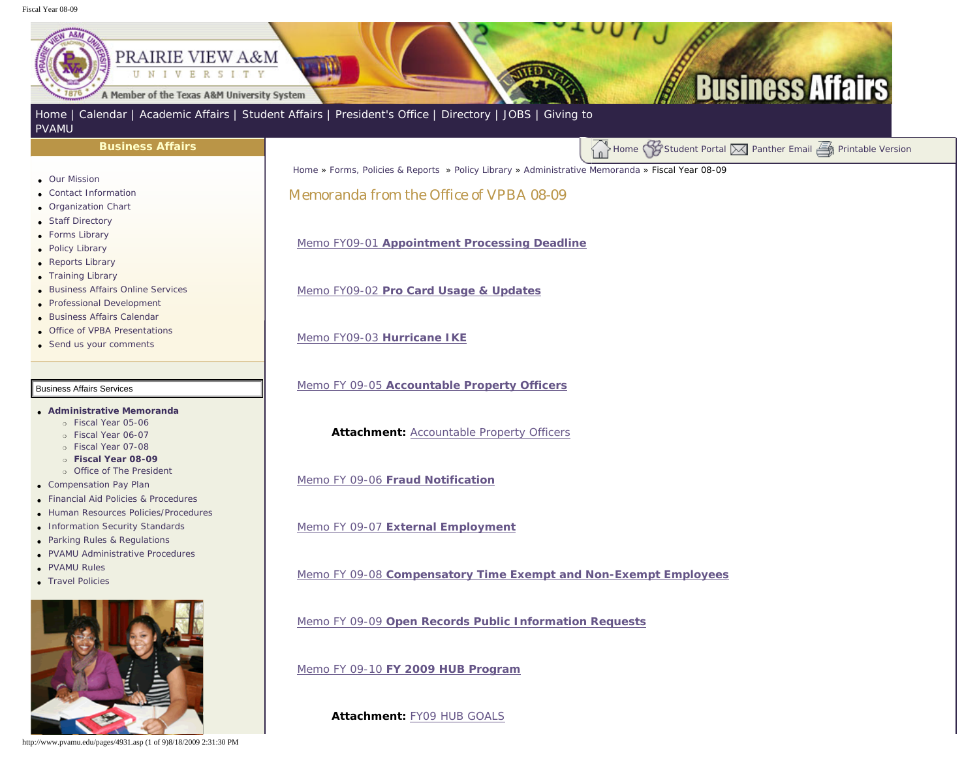## <span id="page-0-0"></span>Fiscal Year 08-09

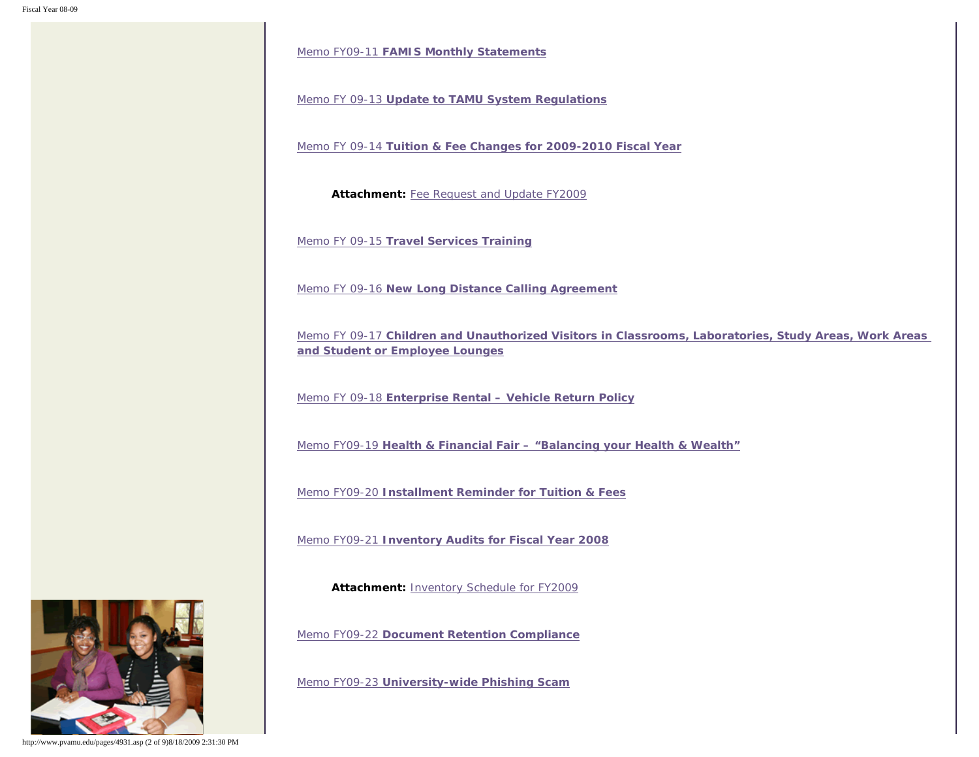Memo FY09-11 **[FAMIS Monthly Statements](http://www.pvamu.edu/Include/Business_affairs/Memo/FY09/VPBA Memo FY09-11  FAMIS Monthly Statments.pdf)**

Memo FY 09-13 **[Update to TAMU System Regulations](http://www.pvamu.edu/Include/Business_affairs/Memo/FY09/VPBA Memo FY 09-13 Update to TAMU System Regulations.pdf)**

Memo FY 09-14 **[Tuition & Fee Changes for 2009-2010 Fiscal Year](http://www.pvamu.edu/Include/Business_affairs/Memo/FY09/VPBA Memo FY 09-14 Tuition & Fee Changes for 2009-2010 Fiscal Year.pdf)**

**Attachment:** [Fee Request and Update FY2009](http://www.pvamu.edu/Include/Business_affairs/Memo/FY09/Fee Request and Update FY2010.xls)

Memo FY 09-15 **[Travel Services Training](http://www.pvamu.edu/Include/Business_affairs/Memo/FY09/VPBA Memo FY 09-15 Travel Services Training.pdf)**

Memo FY 09-16 **[New Long Distance Calling Agreement](http://www.pvamu.edu/Include/Business_affairs/Memo/FY09/VPBA Memo FY 09-16 New Long Distance Calling Agreement.pdf)**

Memo FY 09-17 **[Children and Unauthorized Visitors in Classrooms, Laboratories, Study Areas, Work Areas](http://www.pvamu.edu/Include/Business_affairs/Memo/FY09/VPBA Memo FY 09-17 Children and Unauthorized Visitors in Classroom Laboratories Study Areas Work Areas and Student or Employee Lounges.pdf) [and Student or Employee Lounges](http://www.pvamu.edu/Include/Business_affairs/Memo/FY09/VPBA Memo FY 09-17 Children and Unauthorized Visitors in Classroom Laboratories Study Areas Work Areas and Student or Employee Lounges.pdf)**

Memo FY 09-18 **[Enterprise Rental – Vehicle Return Policy](http://www.pvamu.edu/Include/Business_affairs/Memo/FY09/VPBA Memo FY 09-18 Enterprise Rental - Vehicle Return Policy.pdf)**

Memo FY09-19 **[Health & Financial Fair – "Balancing your Health & Wealth"](http://www.pvamu.edu/Include/Business_affairs/Memo/FY09/VPBA Memo FY 09-19 Health & Financial Fair - Balancing your Health & Wealth.pdf)**

Memo FY09-20 **[Installment Reminder for Tuition & Fees](http://www.pvamu.edu/Include/Business_affairs/Memo/FY09/VPBA Memo FY 09-20 Installment Due for Tuition & Fees.pdf)**

Memo FY09-21 **[Inventory Audits for Fiscal Year 2008](http://www.pvamu.edu/Include/Business_affairs/Memo/FY09/VPBA Memo FY 09-21  Inventory Audits for Fiscal Year 2008.pdf)**

**Attachment:** [Inventory Schedule for FY2009](http://www.pvamu.edu/Include/Business_affairs/Memo/FY09/VPBA FY 09-21 Attachment Inventory Schedule for FY2009.pdf)

Memo FY09-22 **[Document Retention Compliance](http://www.pvamu.edu/Include/Business_affairs/Memo/FY09/VPBA Memo FY 09-22 Document Retention Compliance.pdf)**

Memo FY09-23 **[University-wide Phishing Scam](http://www.pvamu.edu/Include/Business_affairs/Memo/FY09/VPBA Memo FY 09-23 University-wide Phishing Scam.pdf)**



http://www.pvamu.edu/pages/4931.asp (2 of 9)8/18/2009 2:31:30 PM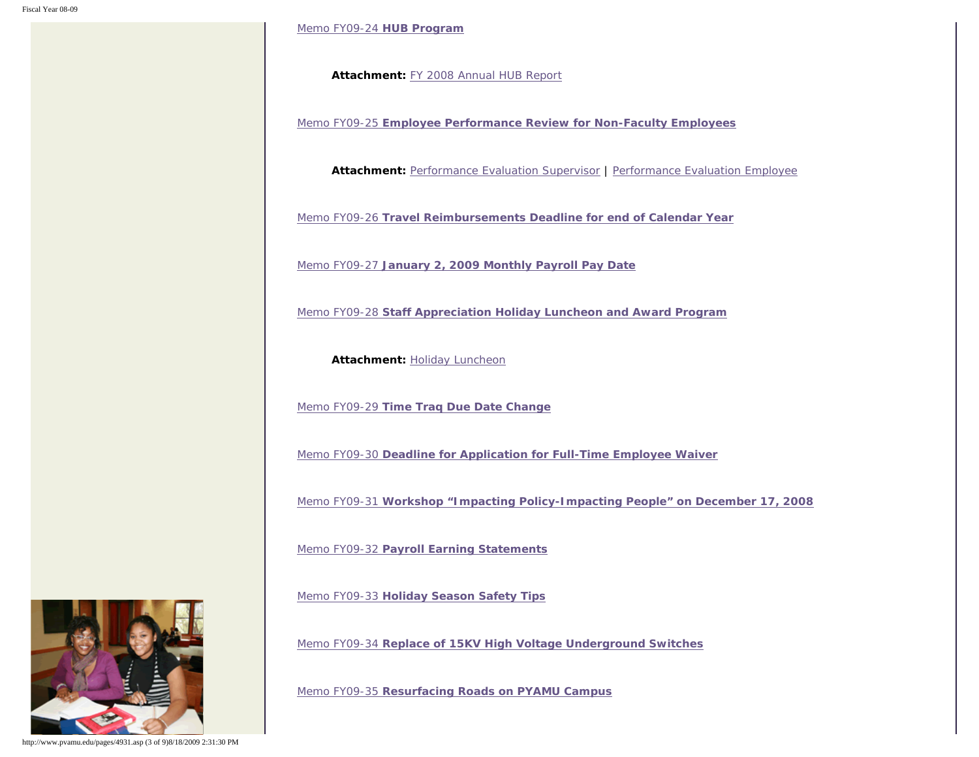[Memo FY09-24](http://www.pvamu.edu/Include/Business_affairs/Memo/FY09/VPBA Memo FY 09-24  HUB Program.pdf) **HUB Program**

**Attachment:** [FY 2008 Annual HUB Report](http://www.pvamu.edu/Include/Business_affairs/Memo/FY09/VPBA Attachment 09-24 FY 2008 Annual HUB Report.pdf)

Memo FY09-25 **[Employee Performance Review for Non-Faculty Employees](http://www.pvamu.edu/Include/Business_affairs/Memo/FY09/VPBA Memo FY 09-25 Annual Evaluations.pdf)**

**Attachment:** [Performance Evaluation Supervisor](http://www.pvamu.edu/Include/Business_affairs/Memo/FY09/VPBA FY 09-25 Att1 Performance Evaluation Supervisor.doc) | [Performance Evaluation Employee](http://www.pvamu.edu/Include/Business_affairs/Memo/FY09/VPBA FY 09-25 Att2 Performance Evaluation Employee.doc)

Memo FY09-26 **[Travel Reimbursements Deadline for end of Calendar Year](http://www.pvamu.edu/Include/Business_affairs/Memo/FY09/VPBA Memo FY 09-26 Travel Reimbursement Deadline for end of Calendar Year.pdf)**

Memo FY09-27 **[January 2, 2009 Monthly Payroll Pay Date](http://www.pvamu.edu/Include/Business_affairs/Memo/FY09/VPBA Memo FY 09-27 January 2 2009 Monthly Payroll Pay Date.pdf)**

Memo FY09-28 **[Staff Appreciation Holiday Luncheon and Award Program](http://www.pvamu.edu/Include/Business_affairs/Memo/FY09/VPBA Memo FY 09-28 Staff Appreciation Holiday Luncheon & Award Program.pdf)**

**Attachment: [Holiday Luncheon](http://www.pvamu.edu/Include/Business_affairs/Memo/FY09/VPBA FY 09-28 Holiday Luncheon Attachment.pdf)** 

Memo FY09-29 **[Time Traq Due Date Change](http://www.pvamu.edu/Include/Business_affairs/Memo/FY09/VPBA Memo FY 09-29 Time Traq Due Date Change.pdf)**

Memo FY09-30 **[Deadline for Application for Full-Time Employee Waiver](http://www.pvamu.edu/Include/Business_affairs/Memo/FY09/VPBA Memo FY 09-30 Deadline for Application for Full-time Employee Waiver.pdf)**

Memo FY09-31 **[Workshop "Impacting Policy-Impacting People" on December 17, 2008](http://www.pvamu.edu/Include/Business_affairs/Memo/FY09/VPBA Memo FY 09-31 Workshop - December 17, 2008.pdf)**

Memo FY09-32 **[Payroll Earning Statements](http://www.pvamu.edu/Include/Business_affairs/Memo/FY09/VPBA Memo FY 09-32 Payroll Earning Statements.pdf)**

Memo FY09-33 **[Holiday Season Safety Tips](http://www.pvamu.edu/Include/Business_affairs/Memo/FY09/VPBA Memo FY 09-33  Holiday Season Safety Tips.pdf)**

Memo FY09-34 **[Replace of 15KV High Voltage Underground Switches](http://www.pvamu.edu/Include/Business_affairs/Memo/FY09/VPBA Memo FY 09-34  Replacement of 15KV High Voltage Switches.pdf)**

Memo FY09-35 **[Resurfacing Roads on PYAMU Campus](http://www.pvamu.edu/Include/Business_affairs/Memo/FY09/VPBA Memo FY 09-35 Resurfacing Roads on PVAMU Campus.pdf)**



http://www.pvamu.edu/pages/4931.asp (3 of 9)8/18/2009 2:31:30 PM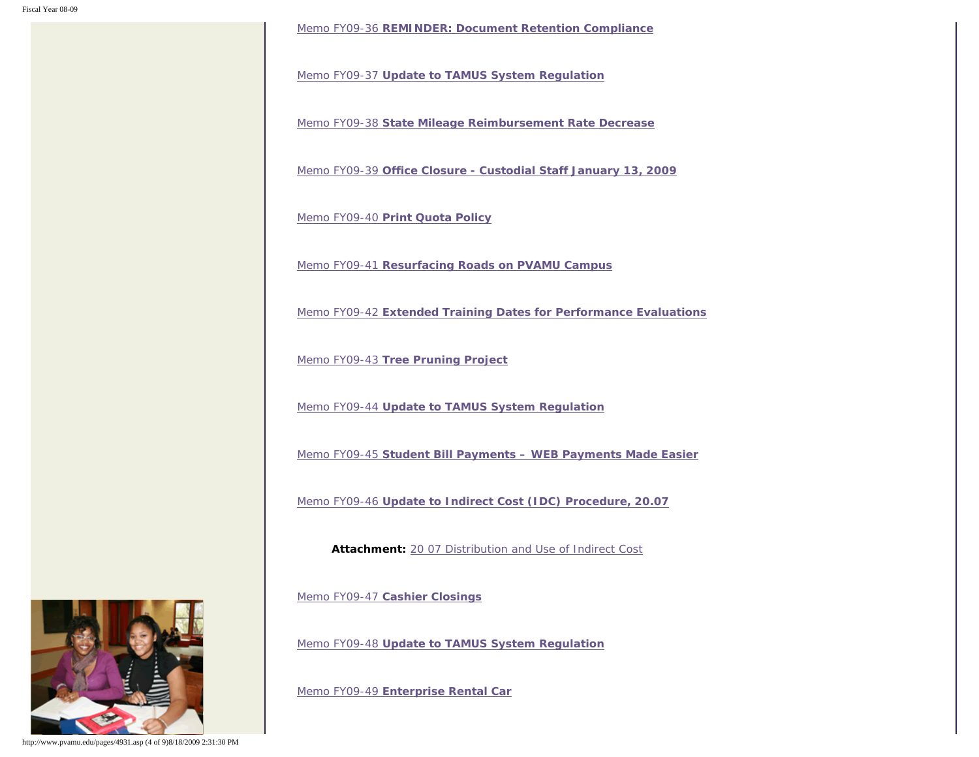Memo FY09-36 **[REMINDER: Document Retention Compliance](http://www.pvamu.edu/Include/Business_affairs/Memo/FY09/VPBA Memo FY 09-36Document Retention Compliance.pdf)**

Memo FY09-37 **[Update to TAMUS System Regulation](http://www.pvamu.edu/Include/Business_affairs/Memo/FY09/VPBA Memo FY 09-37 Update to TAMU System Regulations.pdf)**

Memo FY09-38 **[State Mileage Reimbursement Rate Decrease](http://www.pvamu.edu/Include/Business_affairs/Memo/FY09/VPBA Memo FY 09-38 State Mileage Reimbursement  Rate Decrease.pdf)**

Memo FY09-39 **[Office Closure - Custodial Staff January 13, 2009](http://www.pvamu.edu/Include/Business_affairs/Memo/FY09/VPBA Memo FY 09-39 Office Closure - Custodial Staff Juanuary 13, 2009.pdf)**

Memo FY09-40 **[Print Quota Policy](http://www.pvamu.edu/Include/Business_affairs/Memo/FY09/VPBA Memo FY 09-40 Print Quota Policy.pdf)**

Memo FY09-41 **[Resurfacing Roads on PVAMU Campus](http://www.pvamu.edu/Include/Business_affairs/Memo/FY09/VPBA Memo FY 09-41 Resurfacing Roads on PVAMU Campus Reminder.pdf)**

Memo FY09-42 **[Extended Training Dates for Performance Evaluations](http://www.pvamu.edu/Include/Business_affairs/Memo/FY09/VPBA Memo FY 09-42  Extended Training Dates for Performance Evaluations.pdf)**

Memo FY09-43 **[Tree Pruning Project](http://www.pvamu.edu/Include/Business_affairs/Memo/FY09/VPBA Memo FY 09-43 Tree Pruning Project.pdf)**

Memo FY09-44 **[Update to TAMUS System Regulation](http://www.pvamu.edu/Include/Business_affairs/Memo/FY09/VPBA Memo FY 09-44 Update to TAMU System Regulations.pdf)**

Memo FY09-45 **[Student Bill Payments – WEB Payments Made Easier](http://www.pvamu.edu/Include/Business_affairs/Memo/FY09/VPBA Memo FY 09-45 Student Bill Payments - WEB Payments Made Easier.pdf)**

Memo FY09-46 **[Update to Indirect Cost \(IDC\) Procedure, 20.07](http://www.pvamu.edu/Include/Business_affairs/Memo/FY09/VPBA Memo FY 09-46 Update to Indirect Cost (IDC) Procedures, 20.07.pdf)**

**Attachment:** [20 07 Distribution and Use of Indirect Cost](http://www.pvamu.edu/Include/Business_affairs/Memo/FY09/20 07 Distribution and Use of Indirect Cost.pdf)

Memo FY09-47 **[Cashier Closings](http://www.pvamu.edu/Include/Business_affairs/Memo/FY09/VPBA Memo FY 09-47 Cashier Closings.pdf)**

Memo FY09-48 **[Update to TAMUS System Regulation](http://www.pvamu.edu/Include/Business_affairs/Memo/FY09/VPBA Memo FY 09-48 Update to TAMU System Regulations.pdf)**

Memo FY09-49 **[Enterprise Rental Car](http://www.pvamu.edu/Include/Business_affairs/Memo/FY09/VPBA Memo FY 09-49 Enterprise Rental Car.pdf)**



http://www.pvamu.edu/pages/4931.asp (4 of 9)8/18/2009 2:31:30 PM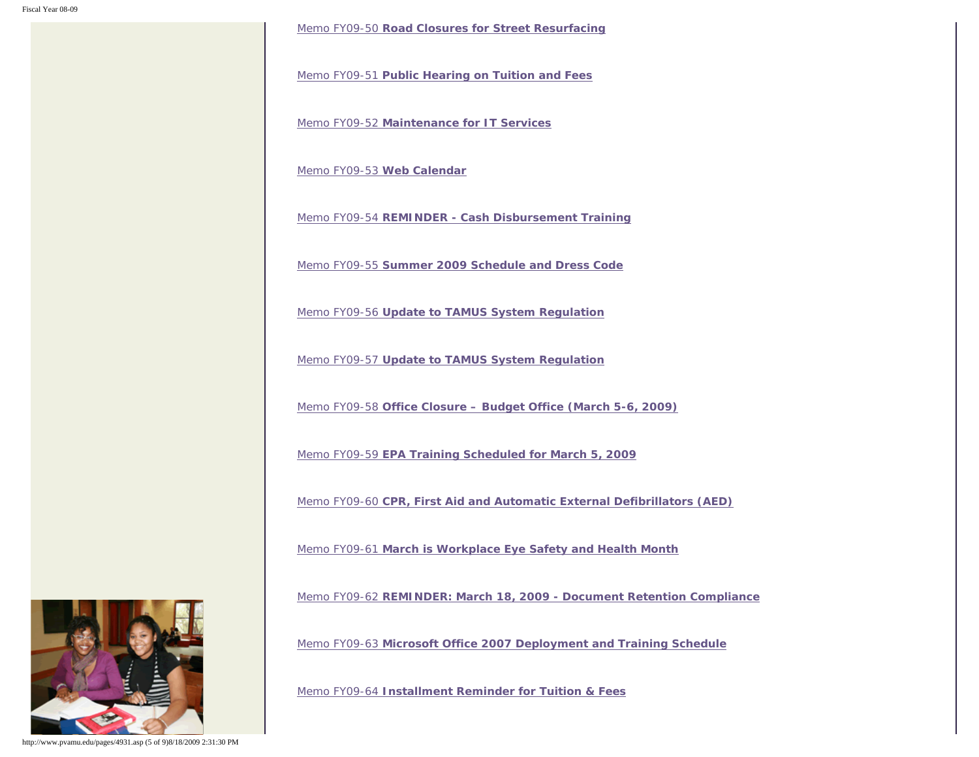Memo FY09-50 **[Road Closures for Street Resurfacing](http://www.pvamu.edu/Include/Business_affairs/Memo/FY09/VPBA Memo FY 09-50 Road Closure for Street Resurfacing.pdf)**

Memo FY09-51 **[Public Hearing on Tuition and Fees](http://www.pvamu.edu/Include/Business_affairs/Memo/FY09/VPBA Memo FY 09-51 Tuition and Fee Public Hearing-February 17, 2009.pdf)**

Memo FY09-52 **[Maintenance for IT Services](http://www.pvamu.edu/Include/Business_affairs/Memo/FY09/VPBA Memo FY 09-52 Maintenance for IT Services.pdf)**

[Memo FY09-53](http://www.pvamu.edu/Include/Business_affairs/Memo/FY09/VPBA Memo FY 09-53 Web Calendar.pdf) **Web Calendar**

Memo FY09-54 **[REMINDER - Cash Disbursement Training](http://www.pvamu.edu/Include/Business_affairs/Memo/FY09/VPBA Memo FY 09-54 Cash Disbursement Trainings.pdf)**

Memo FY09-55 **[Summer 2009 Schedule and Dress Code](http://www.pvamu.edu/Include/Business_affairs/Memo/FY09/VPBA Memo FY 09-55 Summer 2009 Schedule and Dress Code.pdf)**

Memo FY09-56 **[Update to TAMUS System Regulation](http://www.pvamu.edu/Include/Business_affairs/Memo/FY09/VPBA Memo FY 09-56 Update to TAMU System Regulation.pdf)**

Memo FY09-57 **[Update to TAMUS System Regulation](http://www.pvamu.edu/Include/Business_affairs/Memo/FY09/VPBA Memo FY 09-57 Update to TAMU System Regulation.pdf)**

Memo FY09-58 **[Office Closure – Budget Office \(March 5-6, 2009\)](http://www.pvamu.edu/Include/Business_affairs/Memo/FY09/VPBA Memo FY 09-58 Budget Office - Closed March 5&6, 2009.pdf)**

Memo FY09-59 **[EPA Training Scheduled for March 5, 2009](http://www.pvamu.edu/Include/Business_affairs/Memo/FY09/VPBA Memo FY 09-59 EPA Training Scheduled for March 6, 2009.pdf)**

Memo FY09-60 **[CPR, First Aid and Automatic External Defibrillators \(AED\)](http://www.pvamu.edu/Include/Business_affairs/Memo/FY09/VPBA Memo FY 09-60 CPR, First Aid and Automatic External Defibulators (AED).pdf)**

Memo FY09-61 **[March is Workplace Eye Safety and Health Month](http://www.pvamu.edu/Include/Business_affairs/Memo/FY09/VPBA Memo FY 09-61 March is Workplace Eye Safety and Health Month.pdf)**

Memo FY09-62 **[REMINDER: March 18, 2009 - Document Retention Compliance](http://www.pvamu.edu/Include/Business_affairs/Memo/FY09/VPBA Memo FY 09-62 REMINDER March 18, 2009 Document Retention Compliance.pdf)**

Memo FY09-63 **[Microsoft Office 2007 Deployment and Training Schedule](http://www.pvamu.edu/Include/Business_affairs/Memo/FY09/VPBA Memo FY 09-63 Office 2007 Deployment and Training Schedule.pdf)**

Memo FY09-64 **[Installment Reminder for Tuition & Fees](http://www.pvamu.edu/Include/Business_affairs/Memo/FY09/VPBA Memo FY 09-64 Installment Reminder for Tuition and Fees.pdf)**



http://www.pvamu.edu/pages/4931.asp (5 of 9)8/18/2009 2:31:30 PM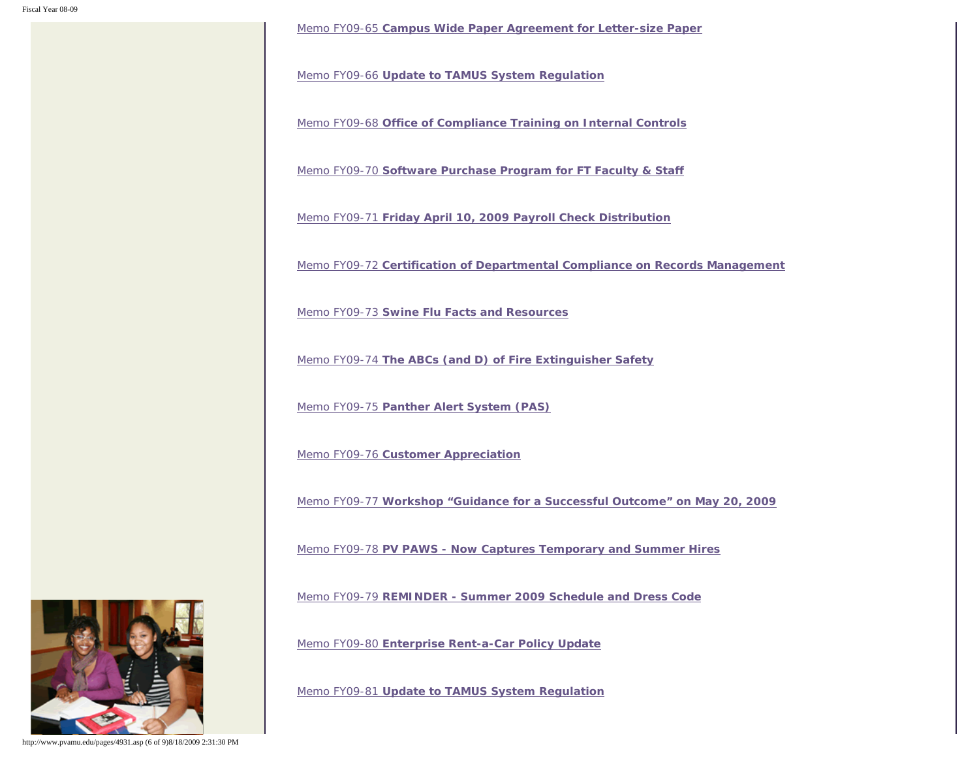Memo FY09-65 **[Campus Wide Paper Agreement for Letter-size Paper](http://www.pvamu.edu/Include/Business_affairs/Memo/FY09/VPBA Memo FY 09-65 Campus-wide Paper Agreement for Letter-size Paper.pdf)**

Memo FY09-66 **[Update to TAMUS System Regulation](http://www.pvamu.edu/Include/Business_affairs/Memo/FY09/VPBA Memo FY 09-66 Update to TAMU System Regulation.pdf)**

Memo FY09-68 **[Office of Compliance Training on Internal Controls](http://www.pvamu.edu/Include/Business_affairs/Memo/FY09/VPBA Memo FY 09-68 Internal Control Training.pdf)**

Memo FY09-70 **[Software Purchase Program for FT Faculty & Staff](http://www.pvamu.edu/Include/Business_affairs/Memo/FY09/VPBA Memo FY 09-70 Software Purchase Program for FT Faculty Staff.pdf)**

Memo FY09-71 **[Friday April 10, 2009 Payroll Check Distribution](http://www.pvamu.edu/Include/Business_affairs/Memo/FY09/VPBA Memo FY 09-71 Friday, April 10 Payroll Check Distribution.pdf)**

Memo FY09-72 **[Certification of Departmental Compliance on Records Management](http://www.pvamu.edu/Include/Business_affairs/Memo/FY09/VPBA Memo FY 09-72 Certification of Departmental Compliance on Records Management.pdf)**

Memo FY09-73 **[Swine Flu Facts and Resources](http://www.pvamu.edu/Include/Business_affairs/Memo/FY09/VPBA Memo Fy 09-73 Safety Tips _Swine Flu.pdf)**

Memo FY09-74 **[The ABCs \(and D\) of Fire Extinguisher Safety](http://www.pvamu.edu/Include/Business_affairs/Memo/FY09/VPBA Memo FY 09-74 Safety Tips _ Fire Extinguishers.pdf)**

Memo FY09-75 **[Panther Alert System \(PAS\)](http://www.pvamu.edu/Include/Business_affairs/Memo/FY09/VPBA Memo FY 09-75 Safety Tips _ Panther Alert System.pdf)**

Memo FY09-76 **[Customer Appreciation](http://www.pvamu.edu/Include/Business_affairs/Memo/FY09/VPBA Memo FY 09-76 Customer Appreciation Day - May 7, 2009.pdf)**

Memo FY09-77 **[Workshop "Guidance for a Successful Outcome" on May 20, 2009](http://www.pvamu.edu/Include/Business_affairs/Memo/FY09/VPBA Memo FY 09-77  Workshp Guidance for a Successful Outcome on May 20, 2009.pdf)**

Memo FY09-78 **[PV PAWS - Now Captures Temporary and Summer Hires](http://www.pvamu.edu/Include/Business_affairs/Memo/FY09/VPBA Memo FY 09-78 PV PAWS Now CapturesTemporary and Summer Hires.pdf)**

Memo FY09-79 **[REMINDER - Summer 2009 Schedule and Dress Code](http://www.pvamu.edu/Include/Business_affairs/Memo/FY09/VPBA Memo FY 09-79 Reminder - Summer 2009 Schedule and Dress Code.pdf)**

Memo FY09-80 **[Enterprise Rent-a-Car Policy Update](http://www.pvamu.edu/Include/Business_affairs/Memo/FY09/VPBA Memo FY 09-80 Enterprise Rental Updates for PVAMU.pdf)**

Memo FY09-81 **[Update to TAMUS System Regulation](http://www.pvamu.edu/Include/Business_affairs/Memo/FY09/VPBA Memo FY 09-81 Update to TAMU System Regulation.pdf)**



http://www.pvamu.edu/pages/4931.asp (6 of 9)8/18/2009 2:31:30 PM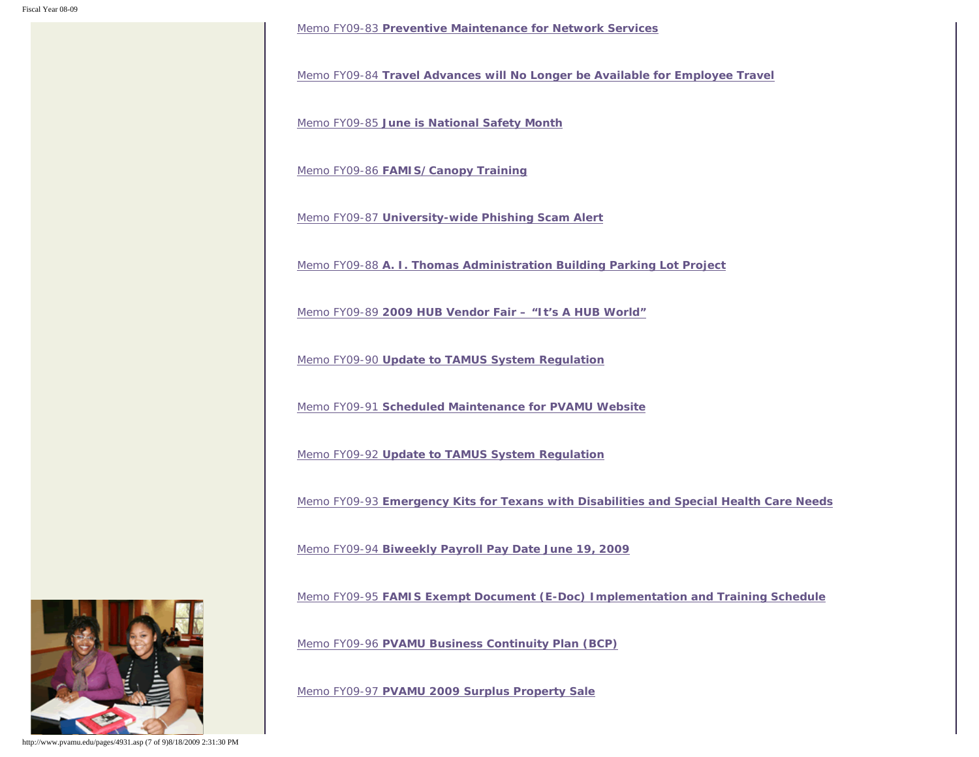Memo FY09-83 **[Preventive Maintenance for Network Services](http://www.pvamu.edu/Include/Business_affairs/Memo/FY09/VPBA Memo FY 09-83 Preventive Maintenance for Network Services.pdf)**

Memo FY09-84 **[Travel Advances will No Longer be Available for Employee Travel](http://www.pvamu.edu/Include/Business_affairs/Memo/FY09/VPBA Memo FY 09-84 Travel Advances for Employee Travel.pdf)**

Memo FY09-85 **[June is National Safety Month](http://www.pvamu.edu/Include/Business_affairs/Memo/FY09/VPBA Memo FY 09-85 June is National Safety Mode.pdf)**

Memo FY09-86 **[FAMIS/Canopy Training](http://www.pvamu.edu/Include/Business_affairs/Memo/FY09/VPBA Memo FY 09-86 Famis-Canopy Training.pdf)**

Memo FY09-87 **[University-wide Phishing Scam Alert](http://www.pvamu.edu/Include/Business_affairs/Memo/FY09/VPBA Memo FY 09-87 University-wide Phishing Scam Alert.pdf)**

Memo FY09-88 **[A. I. Thomas Administration Building Parking Lot Project](http://www.pvamu.edu/Include/Business_affairs/Memo/FY09/VPBA Memo FY 09-88 A. I. Thomas Administration Building Parking Lot Project.pdf)**

Memo FY09-89 **[2009 HUB Vendor Fair – "It's A HUB World"](http://www.pvamu.edu/Include/Business_affairs/Memo/FY09/VPBA Memo FY 09-89  2009 HUB Vendor Fair.pdf)**

Memo FY09-90 **[Update to TAMUS System Regulation](http://www.pvamu.edu/Include/Business_affairs/Memo/FY09/VPBA Memo FY 09-90 Update to TAMU System Regulations.pdf)**

Memo FY09-91 **[Scheduled Maintenance for PVAMU Website](http://www.pvamu.edu/Include/Business_affairs/Memo/FY09/VPBA Memo FY 09-91 Scheduled Maintenace for PVAMU Website.pdf)**

Memo FY09-92 **[Update to TAMUS System Regulation](http://www.pvamu.edu/Include/Business_affairs/Memo/FY09/VPBA Memo FY 09-92 Update to TAMU System Regulation.pdf)**

Memo FY09-93 **[Emergency Kits for Texans with Disabilities and Special Health Care Needs](http://www.pvamu.edu/Include/Business_affairs/Memo/FY09/VPBA Memo FY 09-93 Emergency Kits for Disabled and Special Health Needs.pdf)**

Memo FY09-94 **[Biweekly Payroll Pay Date June 19, 2009](http://www.pvamu.edu/Include/Business_affairs/Memo/FY09/VPBA Memo FY 09-94  Biweekly Payroll Pay Date June 19, 2009.pdf)**

Memo FY09-95 **[FAMIS Exempt Document \(E-Doc\) Implementation and Training Schedule](http://www.pvamu.edu/Include/Business_affairs/Memo/FY09/VPBA Memo FY 09-95 FAMIS Exempt Document (E-Doc) Implementation & Training Schedule.pdf)**

Memo FY09-96 **[PVAMU Business Continuity Plan \(BCP\)](http://www.pvamu.edu/Include/Business_affairs/Memo/FY09/VPBA Memo FY 09-96 PVAMU Business Continuity Plan (BCP).pdf)**

Memo FY09-97 **[PVAMU 2009 Surplus Property Sale](http://www.pvamu.edu/Include/Business_affairs/Memo/FY09/VPBA Memo FY 09-97 PVAMU 2009 Surplus Property Sale.pdf)**



http://www.pvamu.edu/pages/4931.asp (7 of 9)8/18/2009 2:31:30 PM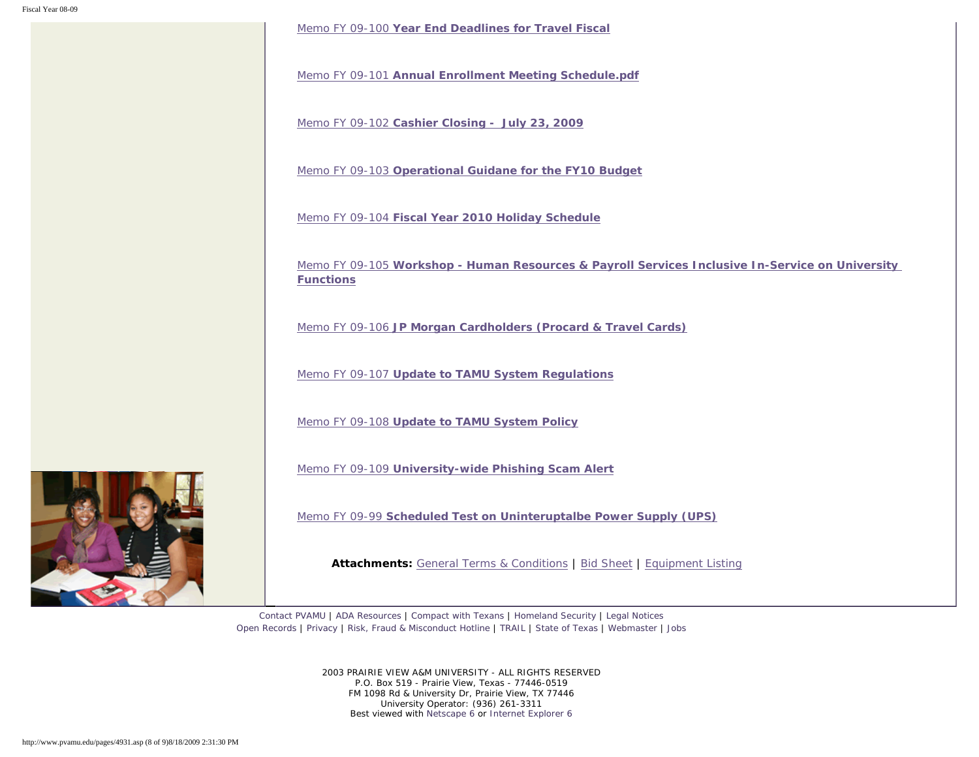Memo FY 09-100 **[Year End Deadlines for Travel Fiscal](http://www.pvamu.edu/Include/Business_affairs/Memo/FY09/VPBA Memo FY 09-100 Year End Deadlines for Travel  Fiscal.pdf)**

Memo FY 09-101 **[Annual Enrollment Meeting Schedule.pdf](http://www.pvamu.edu/Include/Business_affairs/Memo/FY09/VPBA Memo FY 09-101 Annual Enrollment Meeting Schedule.pdf)**

Memo FY 09-102 **[Cashier Closing - July 23, 2009](http://www.pvamu.edu/Include/Business_affairs/Memo/FY09/VPBA Memo FY 09-102 Cashier Closing -  July 23, 2009.pdf)**

Memo FY 09-103 **[Operational Guidane for the FY10 Budget](http://www.pvamu.edu/Include/Business_affairs/Memo/FY09/VPBA Memo FY 09-103 Operational Guidane for the FY10 Budget.pdf)**

Memo FY 09-104 **[Fiscal Year 2010 Holiday Schedule](http://www.pvamu.edu/Include/Business_affairs/Memo/FY09/VPBA Memo FY 09-104 Fiscal Year 2010 Holiday Schedule.pdf)**

Memo FY 09-105 **[Workshop - Human Resources & Payroll Services Inclusive In-Service on University](http://www.pvamu.edu/Include/Business_affairs/Memo/FY09/VPBA Memo FY 09-105 Workshop - Human Resources & Payroll Services Inclusive In-Service on University Functions.pdf)  [Functions](http://www.pvamu.edu/Include/Business_affairs/Memo/FY09/VPBA Memo FY 09-105 Workshop - Human Resources & Payroll Services Inclusive In-Service on University Functions.pdf)**

Memo FY 09-106 **[JP Morgan Cardholders \(Procard & Travel Cards\)](http://www.pvamu.edu/Include/Business_affairs/Memo/FY09/VPBA Memo FY 09-106 JP Morgan Cardholders (Procard  Travel Cards).pdf)**

Memo FY 09-107 **[Update to TAMU System Regulations](http://www.pvamu.edu/Include/Business_affairs/Memo/FY09/VPBA Memo FY 09-107 Update to TAMU System Regulations.pdf)**

Memo FY 09-108 **[Update to TAMU System Policy](http://www.pvamu.edu/Include/Business_affairs/Memo/FY09/VPBA Memo FY 09-108 Update to TAMU System Policy.pdf)**

Memo FY 09-109 **[University-wide Phishing Scam Alert](http://www.pvamu.edu/Include/Business_affairs/Memo/FY09/VPBA Memo FY 09-109 University-wide Phishing Scam Alert.pdf)**

Memo FY 09-99 **[Scheduled Test on Uninteruptalbe Power Supply \(UPS\)](http://www.pvamu.edu/Include/Business_affairs/Memo/FY09/VPBA Memo FY 09-99 Scheduled Test on Uninteruptalbe Power Supply (UPS).pdf)**

**Attachments:** [General Terms & Conditions](http://www.pvamu.edu/Include/Business_affairs/Memo/FY09/VPBA Memo FY 09-97 PVAMU 2009 Surplus Property Sale - Att 1  General Terms & Conditions.pdf) | [Bid Sheet](http://www.pvamu.edu/Include/Business_affairs/Memo/FY09/VPBA Memo FY 09-97 PVAMU 2009 Surplus Property Sale - Att 2 Bid Sheet.pdf) | [Equipment Listing](http://www.pvamu.edu/Include/Business_affairs/Memo/FY09/VPBA Memo FY 09-97 PVAMU 2009 Surplus Property Sale - Att 3 Equipment Listing.pdf)

[Contact PVAMU](http://www.pvamu.edu/pages/2928.asp) | [ADA Resources](http://www.pvamu.edu/pages/4016.asp) | [Compact with Texans](http://www.pvamu.edu/pages/275.asp) | [Homeland Security](http://www.texashomelandsecurity.com/) | [Legal Notices](http://www.educause.edu/issues/dmca.html) [Open Records](http://www.pvamu.edu/pages/1058.asp) | [Privacy](http://www.pvamu.edu/pages/277.asp) | [Risk, Fraud & Misconduct Hotline](http://www.pvamu.edu/pages/5894.asp) | [TRAIL](http://www.tsl.state.tx.us/trail/index.html) | [State of Texas](http://www.state.tx.us/) | [Webmaster](mailto:webmaster@pvamu.edu) | [Jobs](http://www.pvamu.edu/jobs)

> 2003 PRAIRIE VIEW A&M UNIVERSITY - ALL RIGHTS RESERVED P.O. Box 519 - Prairie View, Texas - 77446-0519 FM 1098 Rd & University Dr, Prairie View, TX 77446 University Operator: (936) 261-3311 Best viewed with [Netscape 6](http://channels.netscape.com/ns/browsers/download.jsp) or [Internet Explorer 6](http://www.microsoft.com/downloads/details.aspx?FamilyID=1e1550cb-5e5d-48f5-b02b-20b602228de6&displaylang=en)